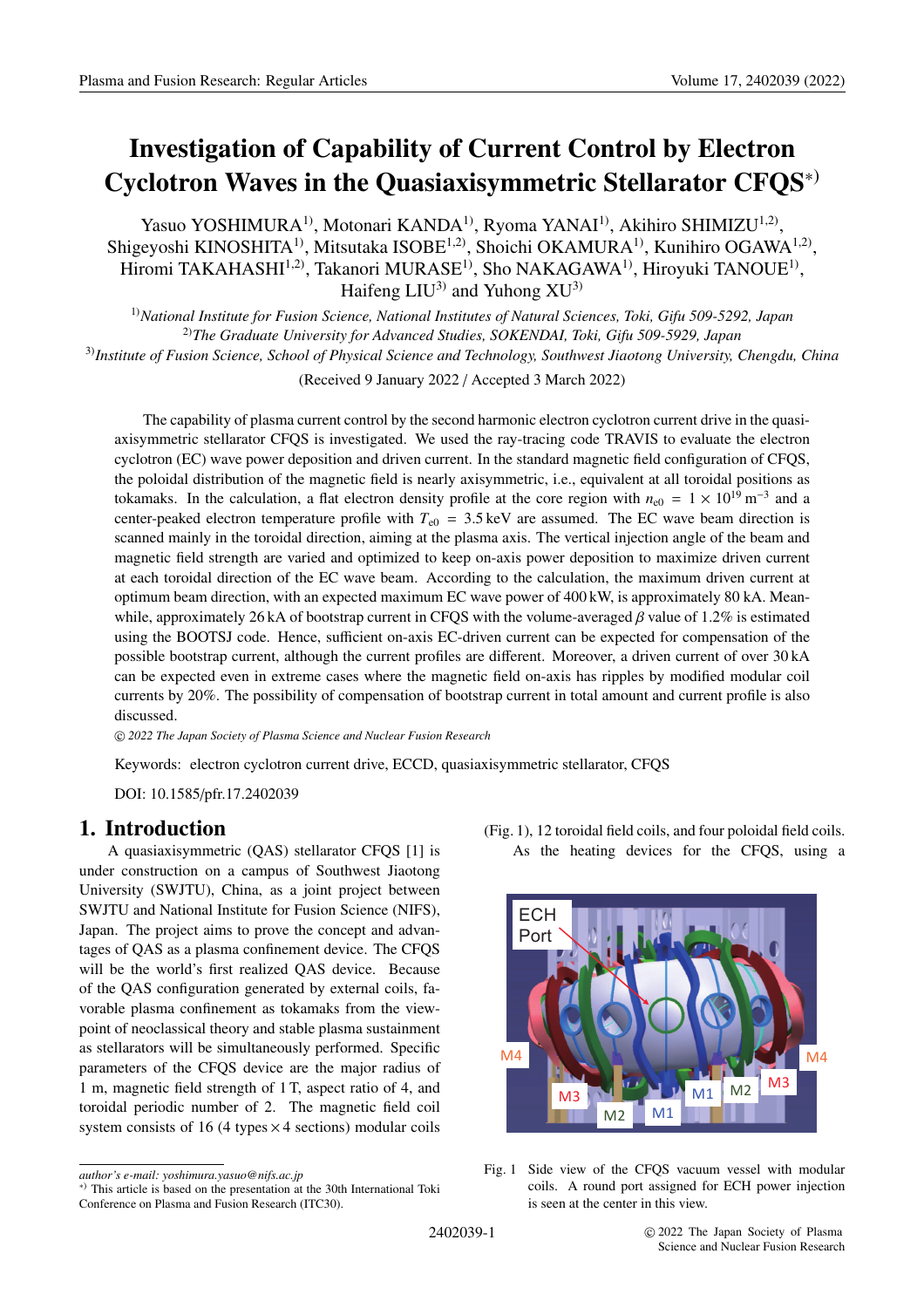# **Investigation of Capability of Current Control by Electron Cyclotron Waves in the Quasiaxisymmetric Stellarator CFQS**∗)

Yasuo YOSHIMURA<sup>1)</sup>, Motonari KANDA<sup>1)</sup>, Ryoma YANAI<sup>1)</sup>, Akihiro SHIMIZU<sup>1,2)</sup>, Shigeyoshi KINOSHITA<sup>1)</sup>, Mitsutaka ISOBE<sup>1,2)</sup>, Shoichi OKAMURA<sup>1)</sup>, Kunihiro OGAWA<sup>1,2)</sup>, Hiromi TAKAHASHI<sup>1,2)</sup>, Takanori MURASE<sup>1)</sup>, Sho NAKAGAWA<sup>1)</sup>, Hiroyuki TANOUE<sup>1)</sup>, Haifeng  $LIU^{3}$  and Yuhong  $XU^{3}$ 

1)*National Institute for Fusion Science, National Institutes of Natural Sciences, Toki, Gifu 509-5292, Japan* 2)*The Graduate University for Advanced Studies, SOKENDAI, Toki, Gifu 509-5929, Japan* 3)*Institute of Fusion Science, School of Physical Science and Technology, Southwest Jiaotong University, Chengdu, China*

(Received 9 January 2022 / Accepted 3 March 2022)

The capability of plasma current control by the second harmonic electron cyclotron current drive in the quasiaxisymmetric stellarator CFQS is investigated. We used the ray-tracing code TRAVIS to evaluate the electron cyclotron (EC) wave power deposition and driven current. In the standard magnetic field configuration of CFQS, the poloidal distribution of the magnetic field is nearly axisymmetric, i.e., equivalent at all toroidal positions as tokamaks. In the calculation, a flat electron density profile at the core region with  $n_{e0} = 1 \times 10^{19}$  m<sup>-3</sup> and a center-peaked electron temperature profile with  $T_{e0}$  = 3.5 keV are assumed. The EC wave beam direction is scanned mainly in the toroidal direction, aiming at the plasma axis. The vertical injection angle of the beam and magnetic field strength are varied and optimized to keep on-axis power deposition to maximize driven current at each toroidal direction of the EC wave beam. According to the calculation, the maximum driven current at optimum beam direction, with an expected maximum EC wave power of 400 kW, is approximately 80 kA. Meanwhile, approximately 26 kA of bootstrap current in CFQS with the volume-averaged  $\beta$  value of 1.2% is estimated using the BOOTSJ code. Hence, sufficient on-axis EC-driven current can be expected for compensation of the possible bootstrap current, although the current profiles are different. Moreover, a driven current of over 30 kA can be expected even in extreme cases where the magnetic field on-axis has ripples by modified modular coil currents by 20%. The possibility of compensation of bootstrap current in total amount and current profile is also discussed.

c *2022 The Japan Society of Plasma Science and Nuclear Fusion Research*

Keywords: electron cyclotron current drive, ECCD, quasiaxisymmetric stellarator, CFQS

DOI: 10.1585/pfr.17.2402039

# **1. Introduction**

A quasiaxisymmetric (QAS) stellarator CFQS [1] is under construction on a campus of Southwest Jiaotong University (SWJTU), China, as a joint project between SWJTU and National Institute for Fusion Science (NIFS), Japan. The project aims to prove the concept and advantages of QAS as a plasma confinement device. The CFQS will be the world's first realized QAS device. Because of the QAS configuration generated by external coils, favorable plasma confinement as tokamaks from the viewpoint of neoclassical theory and stable plasma sustainment as stellarators will be simultaneously performed. Specific parameters of the CFQS device are the major radius of 1 m, magnetic field strength of 1 T, aspect ratio of 4, and toroidal periodic number of 2. The magnetic field coil system consists of 16 (4 types  $\times$  4 sections) modular coils

<sup>(</sup>Fig. 1), 12 toroidal field coils, and four poloidal field coils. As the heating devices for the CFQS, using a



Fig. 1 Side view of the CFQS vacuum vessel with modular coils. A round port assigned for ECH power injection is seen at the center in this view.

Conference on Plasma and Fusion Research (ITC30).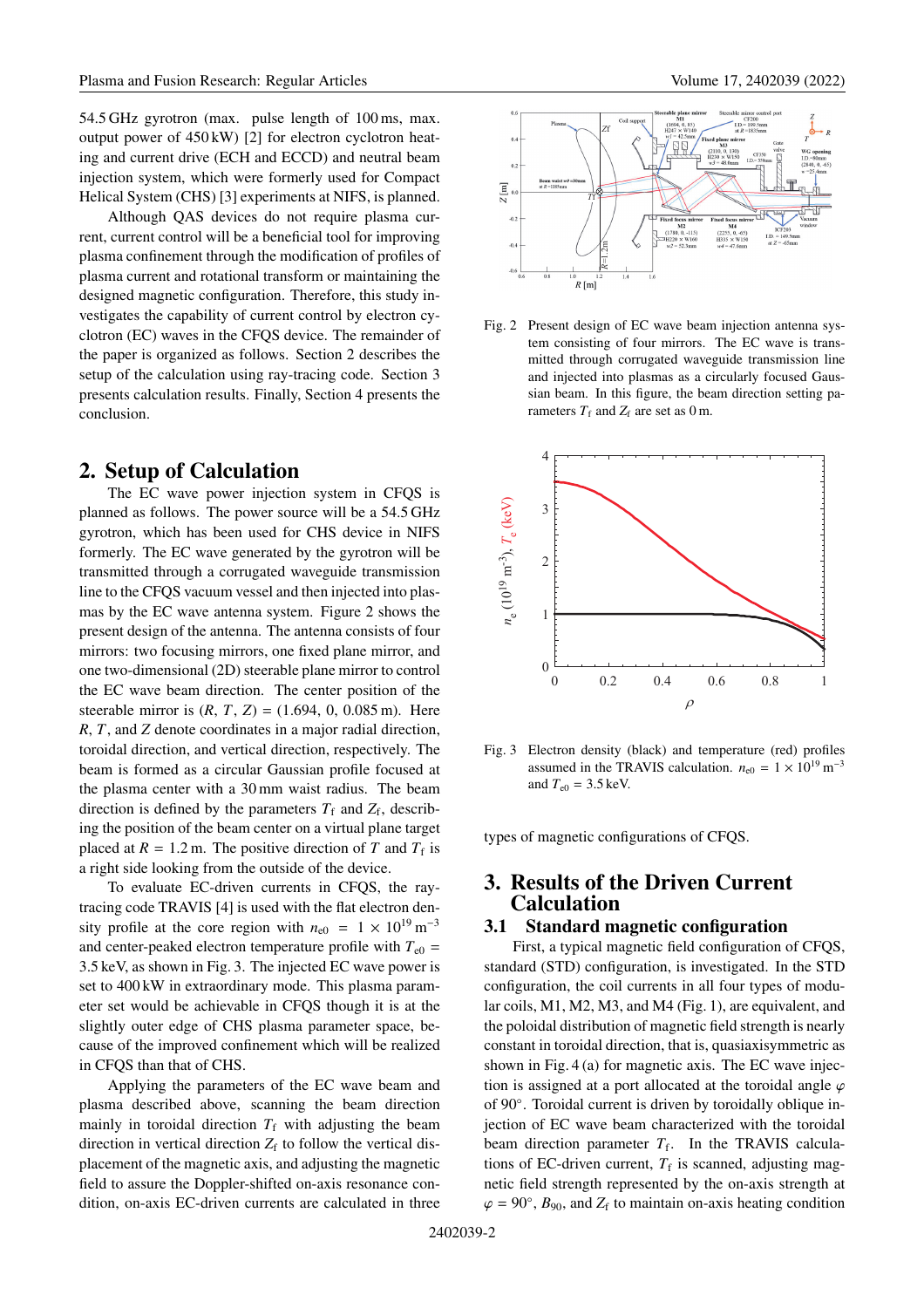54.5 GHz gyrotron (max. pulse length of 100 ms, max. output power of 450 kW) [2] for electron cyclotron heating and current drive (ECH and ECCD) and neutral beam injection system, which were formerly used for Compact Helical System (CHS) [3] experiments at NIFS, is planned.

Although QAS devices do not require plasma current, current control will be a beneficial tool for improving plasma confinement through the modification of profiles of plasma current and rotational transform or maintaining the designed magnetic configuration. Therefore, this study investigates the capability of current control by electron cyclotron (EC) waves in the CFQS device. The remainder of the paper is organized as follows. Section 2 describes the setup of the calculation using ray-tracing code. Section 3 presents calculation results. Finally, Section 4 presents the conclusion.

# **2. Setup of Calculation**

The EC wave power injection system in CFQS is planned as follows. The power source will be a 54.5 GHz gyrotron, which has been used for CHS device in NIFS formerly. The EC wave generated by the gyrotron will be transmitted through a corrugated waveguide transmission line to the CFQS vacuum vessel and then injected into plasmas by the EC wave antenna system. Figure 2 shows the present design of the antenna. The antenna consists of four mirrors: two focusing mirrors, one fixed plane mirror, and one two-dimensional (2D) steerable plane mirror to control the EC wave beam direction. The center position of the steerable mirror is  $(R, T, Z) = (1.694, 0, 0.085 \text{ m})$ . Here *R*, *T*, and *Z* denote coordinates in a major radial direction, toroidal direction, and vertical direction, respectively. The beam is formed as a circular Gaussian profile focused at the plasma center with a 30 mm waist radius. The beam direction is defined by the parameters  $T_f$  and  $Z_f$ , describing the position of the beam center on a virtual plane target placed at  $R = 1.2$  m. The positive direction of *T* and  $T_f$  is a right side looking from the outside of the device.

To evaluate EC-driven currents in CFQS, the raytracing code TRAVIS [4] is used with the flat electron density profile at the core region with  $n_{\text{e}0} = 1 \times 10^{19} \text{ m}^{-3}$ and center-peaked electron temperature profile with  $T_{e0}$  = 3.5 keV, as shown in Fig. 3. The injected EC wave power is set to 400 kW in extraordinary mode. This plasma parameter set would be achievable in CFQS though it is at the slightly outer edge of CHS plasma parameter space, because of the improved confinement which will be realized in CFQS than that of CHS.

Applying the parameters of the EC wave beam and plasma described above, scanning the beam direction mainly in toroidal direction  $T_f$  with adjusting the beam direction in vertical direction  $Z_f$  to follow the vertical displacement of the magnetic axis, and adjusting the magnetic field to assure the Doppler-shifted on-axis resonance condition, on-axis EC-driven currents are calculated in three



Fig. 2 Present design of EC wave beam injection antenna system consisting of four mirrors. The EC wave is transmitted through corrugated waveguide transmission line and injected into plasmas as a circularly focused Gaussian beam. In this figure, the beam direction setting parameters  $T_f$  and  $Z_f$  are set as 0 m.



Fig. 3 Electron density (black) and temperature (red) profiles assumed in the TRAVIS calculation.  $n_{e0} = 1 \times 10^{19} \text{ m}^{-3}$ and  $T_{e0} = 3.5 \,\text{keV}$ .

types of magnetic configurations of CFQS.

# **3. Results of the Driven Current Calculation**

#### **3.1 Standard magnetic configuration**

First, a typical magnetic field configuration of CFQS, standard (STD) configuration, is investigated. In the STD configuration, the coil currents in all four types of modular coils, M1, M2, M3, and M4 (Fig. 1), are equivalent, and the poloidal distribution of magnetic field strength is nearly constant in toroidal direction, that is, quasiaxisymmetric as shown in Fig. 4 (a) for magnetic axis. The EC wave injection is assigned at a port allocated at the toroidal angle  $\varphi$ of 90◦. Toroidal current is driven by toroidally oblique injection of EC wave beam characterized with the toroidal beam direction parameter  $T_f$ . In the TRAVIS calculations of EC-driven current,  $T_f$  is scanned, adjusting magnetic field strength represented by the on-axis strength at  $\varphi = 90^\circ$ ,  $B_{90}$ , and  $Z_f$  to maintain on-axis heating condition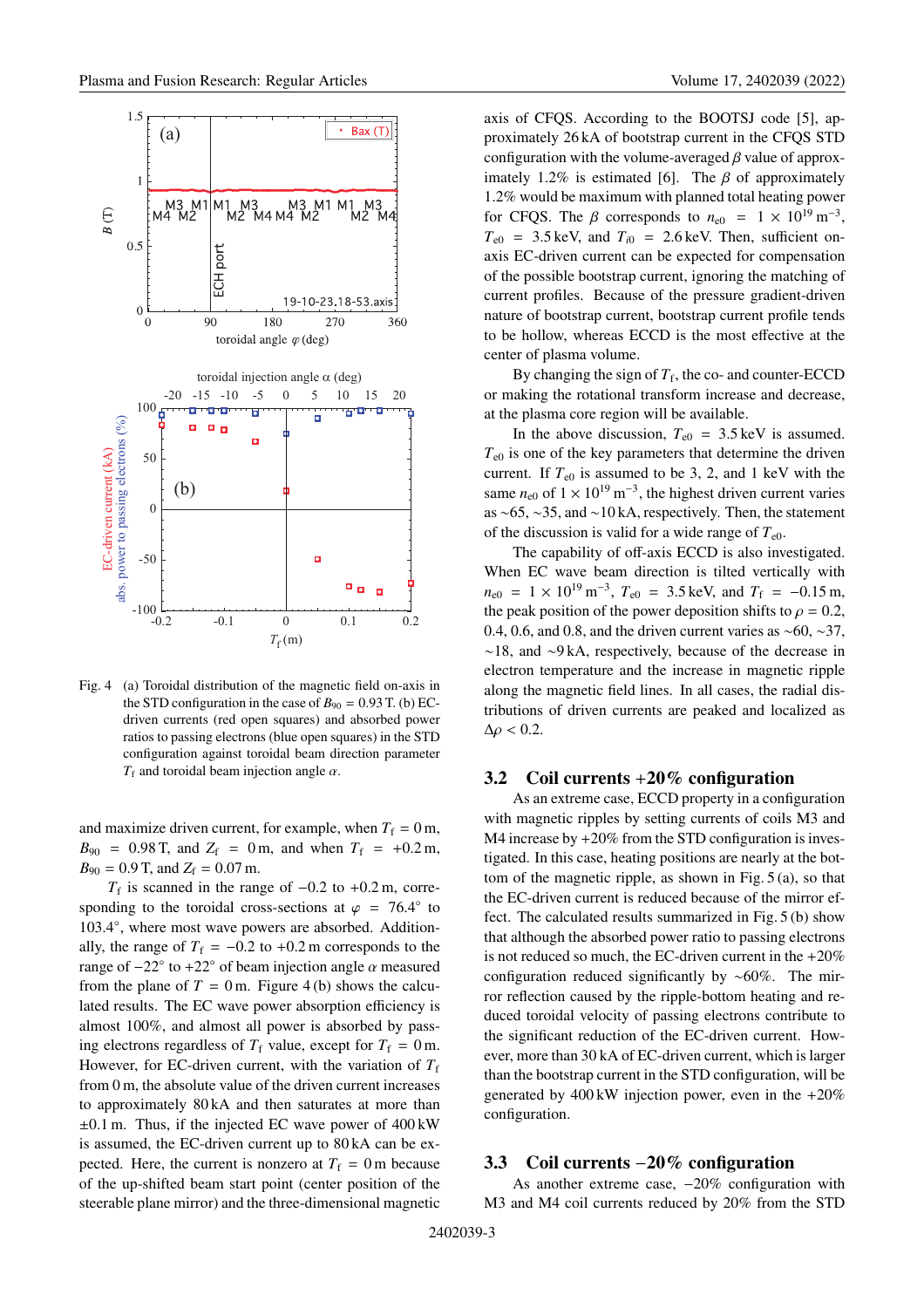

Fig. 4 (a) Toroidal distribution of the magnetic field on-axis in the STD configuration in the case of  $B_{90} = 0.93$  T. (b) ECdriven currents (red open squares) and absorbed power ratios to passing electrons (blue open squares) in the STD configuration against toroidal beam direction parameter  $T_f$  and toroidal beam injection angle  $\alpha$ .

and maximize driven current, for example, when  $T_f = 0$  m,  $B_{90}$  = 0.98 T, and  $Z_f$  = 0 m, and when  $T_f$  = +0.2 m,  $B_{90} = 0.9$  T, and  $Z_f = 0.07$  m.

 $T_f$  is scanned in the range of  $-0.2$  to  $+0.2$  m, corresponding to the toroidal cross-sections at  $\varphi = 76.4^\circ$  to 103.4◦, where most wave powers are absorbed. Additionally, the range of  $T_f = -0.2$  to +0.2 m corresponds to the range of  $-22°$  to  $+22°$  of beam injection angle  $\alpha$  measured from the plane of  $T = 0$  m. Figure 4(b) shows the calculated results. The EC wave power absorption efficiency is almost 100%, and almost all power is absorbed by passing electrons regardless of  $T_f$  value, except for  $T_f = 0$  m. However, for EC-driven current, with the variation of  $T_f$ from 0 m, the absolute value of the driven current increases to approximately 80 kA and then saturates at more than ±0.1 m. Thus, if the injected EC wave power of 400 kW is assumed, the EC-driven current up to 80 kA can be expected. Here, the current is nonzero at  $T_f = 0$  m because of the up-shifted beam start point (center position of the steerable plane mirror) and the three-dimensional magnetic axis of CFQS. According to the BOOTSJ code [5], approximately 26 kA of bootstrap current in the CFQS STD configuration with the volume-averaged  $\beta$  value of approximately 1.2% is estimated [6]. The  $\beta$  of approximately 1.2% would be maximum with planned total heating power for CFQS. The  $\beta$  corresponds to  $n_{e0} = 1 \times 10^{19} \text{ m}^{-3}$ ,  $T_{e0}$  = 3.5 keV, and  $T_{i0}$  = 2.6 keV. Then, sufficient onaxis EC-driven current can be expected for compensation of the possible bootstrap current, ignoring the matching of current profiles. Because of the pressure gradient-driven nature of bootstrap current, bootstrap current profile tends to be hollow, whereas ECCD is the most effective at the center of plasma volume.

By changing the sign of  $T_f$ , the co- and counter-ECCD or making the rotational transform increase and decrease, at the plasma core region will be available.

In the above discussion,  $T_{e0} = 3.5 \,\text{keV}$  is assumed.  $T_{e0}$  is one of the key parameters that determine the driven current. If  $T_{e0}$  is assumed to be 3, 2, and 1 keV with the same  $n_{e0}$  of  $1 \times 10^{19}$  m<sup>-3</sup>, the highest driven current varies as ∼65, ∼35, and ∼10 kA, respectively. Then, the statement of the discussion is valid for a wide range of  $T_{e0}$ .

The capability of off-axis ECCD is also investigated. When EC wave beam direction is tilted vertically with  $n_{e0}$  = 1 × 10<sup>19</sup> m<sup>-3</sup>,  $T_{e0}$  = 3.5 keV, and  $T_f$  = -0.15 m, the peak position of the power deposition shifts to  $\rho = 0.2$ , 0.4, 0.6, and 0.8, and the driven current varies as ∼60, ∼37, ∼18, and ∼9 kA, respectively, because of the decrease in electron temperature and the increase in magnetic ripple along the magnetic field lines. In all cases, the radial distributions of driven currents are peaked and localized as  $\Delta \rho < 0.2$ .

#### **3.2 Coil currents** +**20% configuration**

As an extreme case, ECCD property in a configuration with magnetic ripples by setting currents of coils M3 and M4 increase by  $+20\%$  from the STD configuration is investigated. In this case, heating positions are nearly at the bottom of the magnetic ripple, as shown in Fig. 5 (a), so that the EC-driven current is reduced because of the mirror effect. The calculated results summarized in Fig. 5 (b) show that although the absorbed power ratio to passing electrons is not reduced so much, the EC-driven current in the +20% configuration reduced significantly by ∼60%. The mirror reflection caused by the ripple-bottom heating and reduced toroidal velocity of passing electrons contribute to the significant reduction of the EC-driven current. However, more than 30 kA of EC-driven current, which is larger than the bootstrap current in the STD configuration, will be generated by  $400 \text{ kW}$  injection power, even in the  $+20\%$ configuration.

#### **3.3 Coil currents** −**20% configuration**

As another extreme case,  $-20%$  configuration with M3 and M4 coil currents reduced by 20% from the STD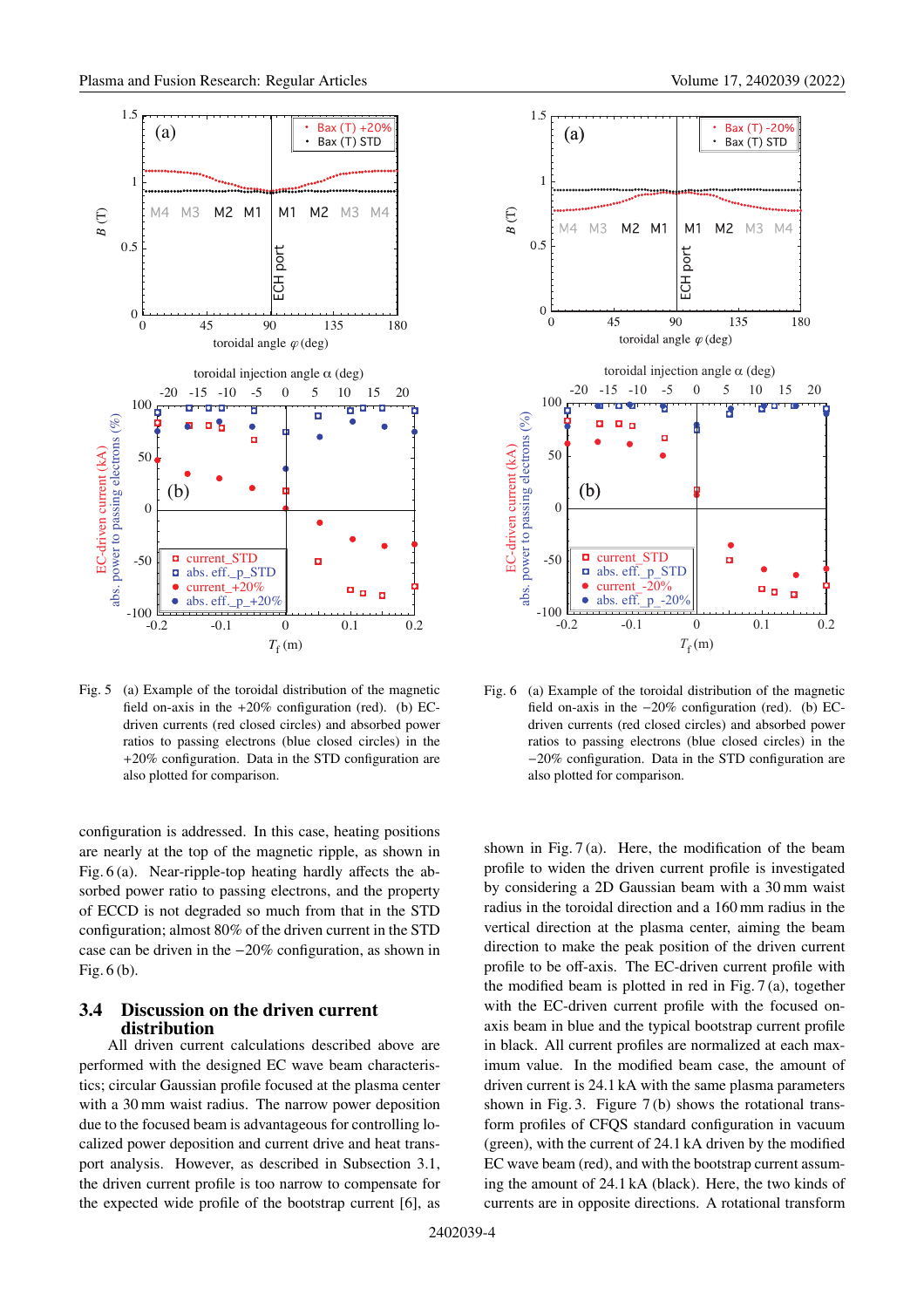

Fig. 5 (a) Example of the toroidal distribution of the magnetic field on-axis in the  $+20\%$  configuration (red). (b) ECdriven currents (red closed circles) and absorbed power ratios to passing electrons (blue closed circles) in the +20% configuration. Data in the STD configuration are also plotted for comparison.

 are nearly at the top of the magnetic ripple, as shown in configuration is addressed. In this case, heating positions Fig. 6 (a). Near-ripple-top heating hardly affects the absorbed power ratio to passing electrons, and the property of ECCD is not degraded so much from that in the STD configuration; almost 80% of the driven current in the STD case can be driven in the −20% configuration, as shown in Fig. 6 (b).

#### **3.4 Discussion on the driven current distribution**

All driven current calculations described above are performed with the designed EC wave beam characteristics; circular Gaussian profile focused at the plasma center with a 30 mm waist radius. The narrow power deposition due to the focused beam is advantageous for controlling localized power deposition and current drive and heat transport analysis. However, as described in Subsection 3.1, the driven current profile is too narrow to compensate for the expected wide profile of the bootstrap current [6], as



Fig. 6 (a) Example of the toroidal distribution of the magnetic field on-axis in the −20% configuration (red). (b) ECdriven currents (red closed circles) and absorbed power ratios to passing electrons (blue closed circles) in the −20% configuration. Data in the STD configuration are also plotted for comparison.

shown in Fig. 7 (a). Here, the modification of the beam profile to widen the driven current profile is investigated by considering a 2D Gaussian beam with a 30 mm waist radius in the toroidal direction and a 160 mm radius in the vertical direction at the plasma center, aiming the beam direction to make the peak position of the driven current profile to be off-axis. The EC-driven current profile with the modified beam is plotted in red in Fig. 7 (a), together with the EC-driven current profile with the focused onaxis beam in blue and the typical bootstrap current profile in black. All current profiles are normalized at each maximum value. In the modified beam case, the amount of driven current is 24.1 kA with the same plasma parameters shown in Fig. 3. Figure 7 (b) shows the rotational transform profiles of CFQS standard configuration in vacuum (green), with the current of 24.1 kA driven by the modified EC wave beam (red), and with the bootstrap current assuming the amount of 24.1 kA (black). Here, the two kinds of currents are in opposite directions. A rotational transform